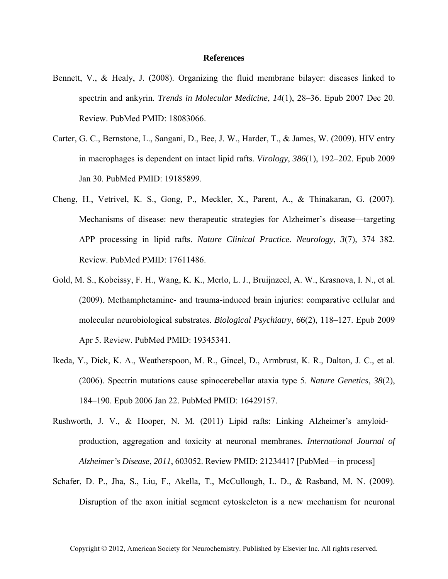## **References**

- Bennett, V., & Healy, J. (2008). Organizing the fluid membrane bilayer: diseases linked to spectrin and ankyrin. *Trends in Molecular Medicine*, *14*(1), 28–36. Epub 2007 Dec 20. Review. PubMed PMID: 18083066.
- Carter, G. C., Bernstone, L., Sangani, D., Bee, J. W., Harder, T., & James, W. (2009). HIV entry in macrophages is dependent on intact lipid rafts. *Virology*, *386*(1), 192–202. Epub 2009 Jan 30. PubMed PMID: 19185899.
- Cheng, H., Vetrivel, K. S., Gong, P., Meckler, X., Parent, A., & Thinakaran, G. (2007). Mechanisms of disease: new therapeutic strategies for Alzheimer's disease—targeting APP processing in lipid rafts. *Nature Clinical Practice. Neurology*, *3*(7), 374–382. Review. PubMed PMID: 17611486.
- Gold, M. S., Kobeissy, F. H., Wang, K. K., Merlo, L. J., Bruijnzeel, A. W., Krasnova, I. N., et al. (2009). Methamphetamine- and trauma-induced brain injuries: comparative cellular and molecular neurobiological substrates. *Biological Psychiatry*, *66*(2), 118–127. Epub 2009 Apr 5. Review. PubMed PMID: 19345341.
- Ikeda, Y., Dick, K. A., Weatherspoon, M. R., Gincel, D., Armbrust, K. R., Dalton, J. C., et al. (2006). Spectrin mutations cause spinocerebellar ataxia type 5. *Nature Genetics*, *38*(2), 184–190. Epub 2006 Jan 22. PubMed PMID: 16429157.
- Rushworth, J. V., & Hooper, N. M. (2011) Lipid rafts: Linking Alzheimer's amyloid production, aggregation and toxicity at neuronal membranes. *International Journal of Alzheimer's Disease*, *2011*, 603052. Review PMID: 21234417 [PubMed—in process]
- Schafer, D. P., Jha, S., Liu, F., Akella, T., McCullough, L. D., & Rasband, M. N. (2009). Disruption of the axon initial segment cytoskeleton is a new mechanism for neuronal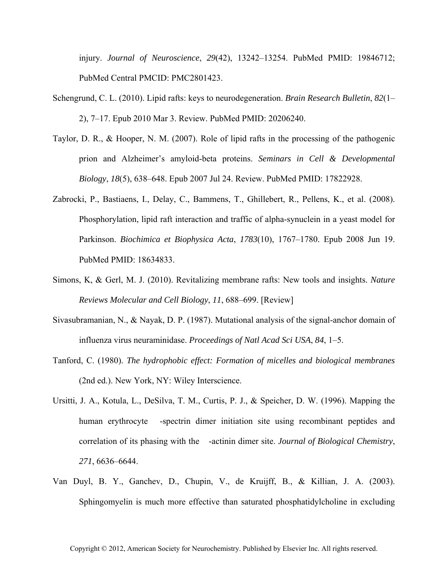injury. *Journal of Neuroscience*, *29*(42), 13242–13254. PubMed PMID: 19846712; PubMed Central PMCID: PMC2801423.

- Schengrund, C. L. (2010). Lipid rafts: keys to neurodegeneration. *Brain Research Bulletin*, *82*(1– 2), 7–17. Epub 2010 Mar 3. Review. PubMed PMID: 20206240.
- Taylor, D. R., & Hooper, N. M. (2007). Role of lipid rafts in the processing of the pathogenic prion and Alzheimer's amyloid-beta proteins. *Seminars in Cell & Developmental Biology*, *18*(5), 638–648. Epub 2007 Jul 24. Review. PubMed PMID: 17822928.
- Zabrocki, P., Bastiaens, I., Delay, C., Bammens, T., Ghillebert, R., Pellens, K., et al. (2008). Phosphorylation, lipid raft interaction and traffic of alpha-synuclein in a yeast model for Parkinson. *Biochimica et Biophysica Acta*, *1783*(10), 1767–1780. Epub 2008 Jun 19. PubMed PMID: 18634833.
- Simons, K, & Gerl, M. J. (2010). Revitalizing membrane rafts: New tools and insights. *Nature Reviews Molecular and Cell Biology*, *11*, 688–699. [Review]
- Sivasubramanian, N., & Nayak, D. P. (1987). Mutational analysis of the signal-anchor domain of influenza virus neuraminidase. *Proceedings of Natl Acad Sci USA*, *84*, 1–5.
- Tanford, C. (1980). *The hydrophobic effect: Formation of micelles and biological membranes* (2nd ed.). New York, NY: Wiley Interscience.
- Ursitti, J. A., Kotula, L., DeSilva, T. M., Curtis, P. J., & Speicher, D. W. (1996). Mapping the human erythrocyte -spectrin dimer initiation site using recombinant peptides and correlation of its phasing with the -actinin dimer site. *Journal of Biological Chemistry*, *271*, 6636–6644.
- Van Duyl, B. Y., Ganchev, D., Chupin, V., de Kruijff, B., & Killian, J. A. (2003). Sphingomyelin is much more effective than saturated phosphatidylcholine in excluding